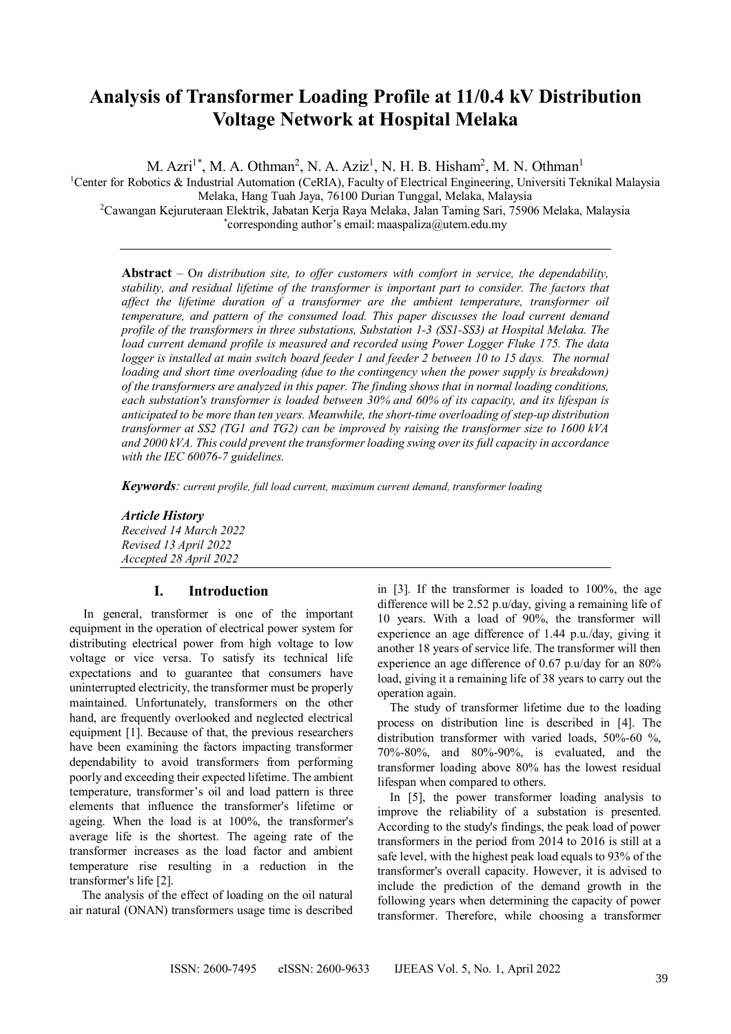## **Analysis of Transformer Loading Profile at 11/0.4 kV Distribution Voltage Network at Hospital Melaka**

M. Azri<sup>1\*</sup>, M. A. Othman<sup>2</sup>, N. A. Aziz<sup>1</sup>, N. H. B. Hisham<sup>2</sup>, M. N. Othman<sup>1</sup>

<sup>1</sup>Center for Robotics & Industrial Automation (CeRIA), Faculty of Electrical Engineering, Universiti Teknikal Malaysia Melaka, Hang Tuah Jaya, 76100 Durian Tunggal, Melaka, Malaysia <sup>2</sup>Cawangan Kejuruteraan Elektrik, Jabatan Kerja Raya Melaka, Jalan Taming Sari, 75906 Melaka, Malaysia \* corresponding author's email: maaspaliza@utem.edu.my

**Abstract** – O*n distribution site, to offer customers with comfort in service, the dependability, stability, and residual lifetime of the transformer is important part to consider. The factors that affect the lifetime duration of a transformer are the ambient temperature, transformer oil temperature, and pattern of the consumed load. This paper discusses the load current demand profile of the transformers in three substations, Substation 1-3 (SS1-SS3) at Hospital Melaka. The load current demand profile is measured and recorded using Power Logger Fluke 175. The data logger is installed at main switch board feeder 1 and feeder 2 between 10 to 15 days. The normal loading and short time overloading (due to the contingency when the power supply is breakdown) of the transformers are analyzed in this paper. The finding shows that in normal loading conditions, each substation's transformer is loaded between 30% and 60% of its capacity, and its lifespan is anticipated to be more than ten years. Meanwhile, the short-time overloading of step-up distribution transformer at SS2 (TG1 and TG2) can be improved by raising the transformer size to 1600 kVA and 2000 kVA. This could prevent the transformer loading swing over its full capacity in accordance with the IEC 60076-7 guidelines.*

*Keywords: current profile, full load current, maximum current demand, transformer loading*

*Article History Received 14 March 2022 Revised 13 April 2022 Accepted 28 April 2022*

## **I. Introduction**

In general, transformer is one of the important equipment in the operation of electrical power system for distributing electrical power from high voltage to low voltage or vice versa. To satisfy its technical life expectations and to guarantee that consumers have uninterrupted electricity, the transformer must be properly maintained. Unfortunately, transformers on the other hand, are frequently overlooked and neglected electrical equipment [1]. Because of that, the previous researchers have been examining the factors impacting transformer dependability to avoid transformers from performing poorly and exceeding their expected lifetime. The ambient temperature, transformer's oil and load pattern is three elements that influence the transformer's lifetime or ageing. When the load is at 100%, the transformer's average life is the shortest. The ageing rate of the transformer increases as the load factor and ambient temperature rise resulting in a reduction in the transformer's life [2].

The analysis of the effect of loading on the oil natural air natural (ONAN) transformers usage time is described in [3]. If the transformer is loaded to 100%, the age difference will be 2.52 p.u/day, giving a remaining life of 10 years. With a load of 90%, the transformer will experience an age difference of 1.44 p.u./day, giving it another 18 years of service life. The transformer will then experience an age difference of 0.67 p.u/day for an 80% load, giving it a remaining life of 38 years to carry out the operation again.

The study of transformer lifetime due to the loading process on distribution line is described in [4]. The distribution transformer with varied loads, 50%-60 %, 70%-80%, and 80%-90%, is evaluated, and the transformer loading above 80% has the lowest residual lifespan when compared to others.

In [5], the power transformer loading analysis to improve the reliability of a substation is presented. According to the study's findings, the peak load of power transformers in the period from 2014 to 2016 is still at a safe level, with the highest peak load equals to 93% of the transformer's overall capacity. However, it is advised to include the prediction of the demand growth in the following years when determining the capacity of power transformer. Therefore, while choosing a transformer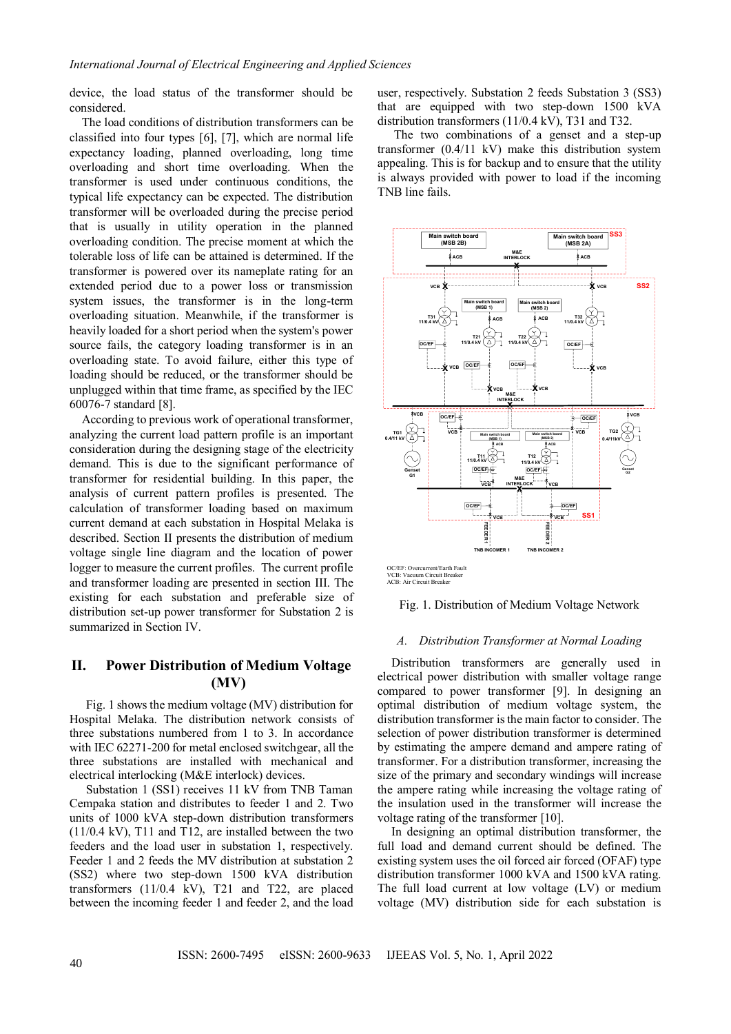device, the load status of the transformer should be considered.

The load conditions of distribution transformers can be classified into four types [6], [7], which are normal life expectancy loading, planned overloading, long time overloading and short time overloading. When the transformer is used under continuous conditions, the typical life expectancy can be expected. The distribution transformer will be overloaded during the precise period that is usually in utility operation in the planned overloading condition. The precise moment at which the tolerable loss of life can be attained is determined. If the transformer is powered over its nameplate rating for an extended period due to a power loss or transmission system issues, the transformer is in the long-term overloading situation. Meanwhile, if the transformer is heavily loaded for a short period when the system's power source fails, the category loading transformer is in an overloading state. To avoid failure, either this type of loading should be reduced, or the transformer should be unplugged within that time frame, as specified by the IEC 60076-7 standard [8].

According to previous work of operational transformer, analyzing the current load pattern profile is an important consideration during the designing stage of the electricity demand. This is due to the significant performance of transformer for residential building. In this paper, the analysis of current pattern profiles is presented. The calculation of transformer loading based on maximum current demand at each substation in Hospital Melaka is described. Section II presents the distribution of medium voltage single line diagram and the location of power logger to measure the current profiles. The current profile and transformer loading are presented in section III. The existing for each substation and preferable size of distribution set-up power transformer for Substation 2 is summarized in Section IV.

## **II. Power Distribution of Medium Voltage (MV)**

Fig. 1 shows the medium voltage (MV) distribution for Hospital Melaka. The distribution network consists of three substations numbered from 1 to 3. In accordance with IEC 62271-200 for metal enclosed switchgear, all the three substations are installed with mechanical and electrical interlocking (M&E interlock) devices.

Substation 1 (SS1) receives 11 kV from TNB Taman Cempaka station and distributes to feeder 1 and 2. Two units of 1000 kVA step-down distribution transformers (11/0.4 kV), T11 and T12, are installed between the two feeders and the load user in substation 1, respectively. Feeder 1 and 2 feeds the MV distribution at substation 2 (SS2) where two step-down 1500 kVA distribution transformers (11/0.4 kV), T21 and T22, are placed between the incoming feeder 1 and feeder 2, and the load

user, respectively. Substation 2 feeds Substation 3 (SS3) that are equipped with two step-down 1500 kVA distribution transformers (11/0.4 kV), T31 and T32.

The two combinations of a genset and a step-up transformer (0.4/11 kV) make this distribution system appealing. This is for backup and to ensure that the utility is always provided with power to load if the incoming TNB line fails.



OC/EF: Overcurrent/Earth Fault VCB: Vacuum Circuit Breaker ACB: Air Circuit Breaker

Fig. 1. Distribution of Medium Voltage Network

## *A. Distribution Transformer at Normal Loading*

Distribution transformers are generally used in electrical power distribution with smaller voltage range compared to power transformer [9]. In designing an optimal distribution of medium voltage system, the distribution transformer is the main factor to consider. The selection of power distribution transformer is determined by estimating the ampere demand and ampere rating of transformer. For a distribution transformer, increasing the size of the primary and secondary windings will increase the ampere rating while increasing the voltage rating of the insulation used in the transformer will increase the voltage rating of the transformer [10].

In designing an optimal distribution transformer, the full load and demand current should be defined. The existing system uses the oil forced air forced (OFAF) type distribution transformer 1000 kVA and 1500 kVA rating. The full load current at low voltage (LV) or medium voltage (MV) distribution side for each substation is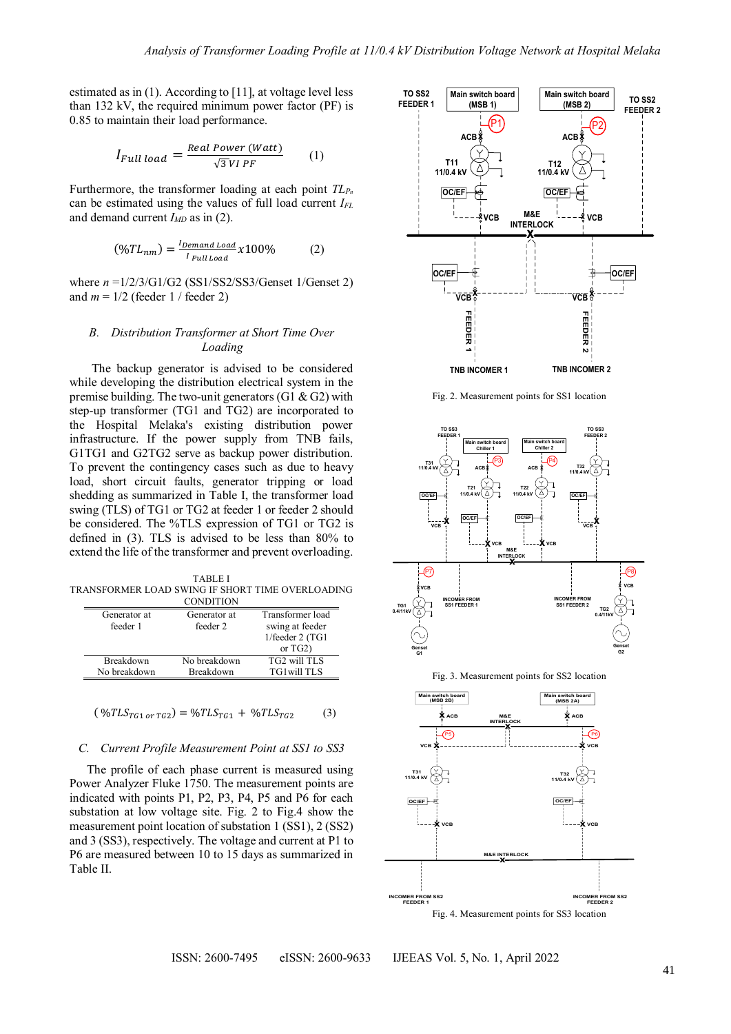estimated as in (1). According to [11], at voltage level less than 132 kV, the required minimum power factor (PF) is 0.85 to maintain their load performance.

$$
I_{Full\ load} = \frac{Real\ Power\ (Watt)}{\sqrt{3} VI\ PF} \tag{1}
$$

Furthermore, the transformer loading at each point *TL<sup>P</sup><sup>n</sup>* can be estimated using the values of full load current *IFL* and demand current  $I_{MD}$  as in (2).

$$
(\%TL_{nm}) = \frac{I_{\text{Demand Load}}}{I_{\text{Full Load}}} \times 100\%
$$
 (2)

where *n* =1/2/3/G1/G2 (SS1/SS2/SS3/Genset 1/Genset 2) and  $m = 1/2$  (feeder 1 / feeder 2)

## *B. Distribution Transformer at Short Time Over Loading*

The backup generator is advised to be considered while developing the distribution electrical system in the premise building. The two-unit generators (G1  $\&$  G2) with step-up transformer (TG1 and TG2) are incorporated to the Hospital Melaka's existing distribution power infrastructure. If the power supply from TNB fails, G1TG1 and G2TG2 serve as backup power distribution. To prevent the contingency cases such as due to heavy load, short circuit faults, generator tripping or load shedding as summarized in Table I, the transformer load swing (TLS) of TG1 or TG2 at feeder 1 or feeder 2 should be considered. The %TLS expression of TG1 or TG2 is defined in (3). TLS is advised to be less than 80% to extend the life of the transformer and prevent overloading.

TABLE I TRANSFORMER LOAD SWING IF SHORT TIME OVERLOADING **CONDITION** 

| Generator at<br>feeder 1 | Generator at<br>feeder 2 | Transformer load<br>swing at feeder<br>1/feeder 2 (TG1<br>or $TG2$ ) |
|--------------------------|--------------------------|----------------------------------------------------------------------|
| Breakdown                | No breakdown             | TG2 will TLS                                                         |
| No breakdown             | <b>Breakdown</b>         | TG1will TLS                                                          |

$$
(\sqrt[6]{TLS}_{TG1 \, or \, TG2}) = \sqrt[6]{TLS}_{TG1} + \sqrt[6]{TLS}_{TG2} \tag{3}
$$

### *C. Current Profile Measurement Point at SS1 to SS3*

The profile of each phase current is measured using Power Analyzer Fluke 1750. The measurement points are indicated with points P1, P2, P3, P4, P5 and P6 for each substation at low voltage site. Fig. 2 to Fig.4 show the measurement point location of substation 1 (SS1), 2 (SS2) and 3 (SS3), respectively. The voltage and current at P1 to P6 are measured between 10 to 15 days as summarized in Table II.



Fig. 2. Measurement points for SS1 location



Fig. 3. Measurement points for SS2 location

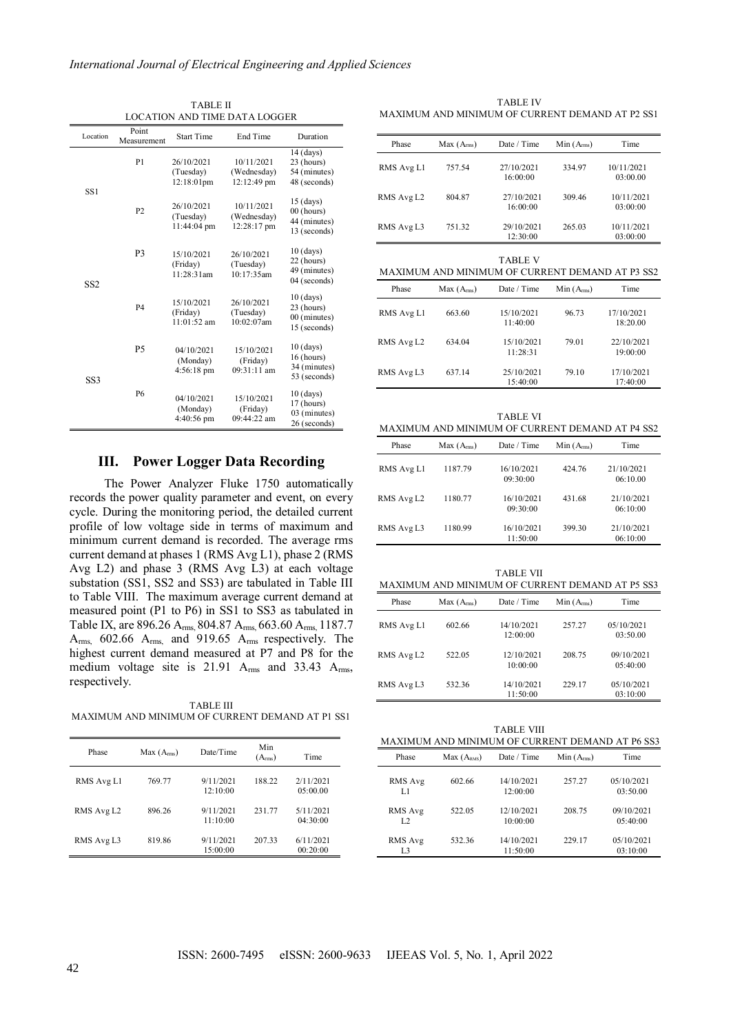TABLE II LOCATION AND TIME DATA LOGGER

| Location        | Point<br>Measurement                                            | <b>Start Time</b>                              | End Time                                 | Duration                                                    |
|-----------------|-----------------------------------------------------------------|------------------------------------------------|------------------------------------------|-------------------------------------------------------------|
|                 | P1                                                              | 26/10/2021<br>(Tuesday)<br>$12:18:01$ pm       | 10/11/2021<br>(Wednesday)<br>12:12:49 pm | $14$ (days)<br>23 (hours)<br>54 (minutes)<br>48 (seconds)   |
|                 | SS1<br>26/10/2021<br>P <sub>2</sub><br>(Tuesday)<br>11:44:04 pm |                                                | 10/11/2021<br>(Wednesday)<br>12:28:17 pm | $15$ (days)<br>$00$ (hours)<br>44 (minutes)<br>13 (seconds) |
| SS <sub>2</sub> | P <sub>3</sub>                                                  | 15/10/2021<br>(Friday)<br>11:28:31am           | 26/10/2021<br>(Tuesday)<br>10:17:35am    | $10$ (days)<br>22 (hours)<br>49 (minutes)<br>04 (seconds)   |
|                 | <b>P4</b>                                                       | 15/10/2021<br>(Friday)<br>$11:01:52$ am        | 26/10/2021<br>(Tuesday)<br>10:02:07am    | $10$ (days)<br>23 (hours)<br>00 (minutes)<br>15 (seconds)   |
| SS3             | <b>P5</b>                                                       | 04/10/2021<br>(Monday)<br>$4:56:18 \text{ pm}$ | 15/10/2021<br>(Friday)<br>09:31:11 am    | $10$ (days)<br>16 (hours)<br>34 (minutes)<br>53 (seconds)   |
|                 | <b>P6</b>                                                       | 04/10/2021<br>(Monday)<br>$4:40:56 \text{ pm}$ | 15/10/2021<br>(Friday)<br>09:44:22 am    | $10$ (days)<br>17 (hours)<br>03 (minutes)<br>26 (seconds)   |

## **III. Power Logger Data Recording**

The Power Analyzer Fluke 1750 automatically records the power quality parameter and event, on every cycle. During the monitoring period, the detailed current profile of low voltage side in terms of maximum and minimum current demand is recorded. The average rms current demand at phases 1 (RMS Avg L1), phase 2 (RMS Avg L2) and phase 3 (RMS Avg L3) at each voltage substation (SS1, SS2 and SS3) are tabulated in Table III to Table VIII. The maximum average current demand at measured point (P1 to P6) in SS1 to SS3 as tabulated in Table IX, are 896.26 Arms, 804.87 Arms, 663.60 Arms, 1187.7 Arms, 602.66 Arms, and 919.65 Arms respectively. The highest current demand measured at P7 and P8 for the medium voltage site is 21.91 Arms and 33.43 Arms, respectively.

TABLE III MAXIMUM AND MINIMUM OF CURRENT DEMAND AT P1 SS1

| Phase      | Max(A <sub>rms</sub> ) | Date/Time             | Min<br>(A <sub>rms</sub> ) | Time                  |
|------------|------------------------|-----------------------|----------------------------|-----------------------|
| RMS Avg L1 | 769.77                 | 9/11/2021<br>12:10:00 | 188.22                     | 2/11/2021<br>05:00.00 |
| RMS Avg L2 | 896.26                 | 9/11/2021<br>11:10:00 | 231.77                     | 5/11/2021<br>04:30:00 |
| RMS Avg L3 | 819.86                 | 9/11/2021<br>15:00:00 | 207.33                     | 6/11/2021<br>00:20:00 |

TABLE IV MAXIMUM AND MINIMUM OF CURRENT DEMAND AT P2 SS1

| Phase      | Max(A <sub>rms</sub> ) | Date / Time                                                       | Min(A <sub>rms</sub> ) | Time                   |
|------------|------------------------|-------------------------------------------------------------------|------------------------|------------------------|
| RMS Avg L1 | 757.54                 | 27/10/2021<br>16:00:00                                            | 334.97                 | 10/11/2021<br>03:00.00 |
| RMS Avg L2 | 804.87                 | 27/10/2021<br>16:00:00                                            | 309.46                 | 10/11/2021<br>03:00:00 |
| RMS Avg L3 | 751.32                 | 29/10/2021<br>12:30:00                                            | 265.03                 | 10/11/2021<br>03:00:00 |
|            |                        | <b>TABLE V</b><br>MAXIMUM AND MINIMUM OF CURRENT DEMAND AT P3 SS2 |                        |                        |
| Phase      | Max(A <sub>rms</sub> ) | Date / Time                                                       | Min(A <sub>rms</sub> ) | Time                   |
| RMS Avg L1 | 663.60                 | 15/10/2021<br>11:40:00                                            | 96.73                  | 17/10/2021<br>18:20.00 |
| RMS Avg L2 | 634.04                 | 15/10/2021<br>11:28:31                                            | 79.01                  | 22/10/2021<br>19:00:00 |

| TABLE VI                                        |
|-------------------------------------------------|
| MAXIMUM AND MINIMUM OF CURRENT DEMAND AT P4 SS2 |

15:40:00

79.10 17/10/2021

17:40:00

RMS Avg L3 637.14 25/10/2021

| Phase      | Max(A <sub>rms</sub> ) | Date / Time            | Min(A <sub>rms</sub> ) | Time                   |
|------------|------------------------|------------------------|------------------------|------------------------|
| RMS Avg L1 | 1187.79                | 16/10/2021<br>09:30:00 | 424.76                 | 21/10/2021<br>06:10.00 |
| RMS Avg L2 | 1180.77                | 16/10/2021<br>09:30:00 | 431.68                 | 21/10/2021<br>06:10:00 |
| RMS Avg L3 | 1180.99                | 16/10/2021<br>11:50:00 | 399.30                 | 21/10/2021<br>06:10:00 |

| <b>TABLE VII</b><br>MAXIMUM AND MINIMUM OF CURRENT DEMAND AT P5 SS3 |                        |                        |                        |                        |  |  |
|---------------------------------------------------------------------|------------------------|------------------------|------------------------|------------------------|--|--|
| Phase                                                               | Max(A <sub>rms</sub> ) | Date / Time            | Min(A <sub>rms</sub> ) | Time                   |  |  |
| RMS Avg L1                                                          | 602.66                 | 14/10/2021<br>12:00:00 | 257.27                 | 05/10/2021<br>03:50.00 |  |  |
| RMS Avg L2                                                          | 522.05                 | 12/10/2021<br>10:00:00 | 208.75                 | 09/10/2021<br>05:40:00 |  |  |
| RMS Avg L3                                                          | 532.36                 | 14/10/2021<br>11:50:00 | 229.17                 | 05/10/2021<br>03:10:00 |  |  |

TABLE VIII MAXIMUM AND MINIMUM OF CURRENT DEMAND AT P6 SS3

| Phase                     | Max(A <sub>RMS</sub> ) | Date / Time            | Min(A <sub>rms</sub> ) | <b>Time</b>             |
|---------------------------|------------------------|------------------------|------------------------|-------------------------|
| RMS Avg<br>LI             | 602.66                 | 14/10/2021<br>12:00:00 | 257.27                 | 05/10/2021<br>03:50.00  |
| RMS Avg<br>L <sub>2</sub> | 522.05                 | 12/10/2021<br>10:00:00 | 208.75                 | 09/10/2021<br>0.5:40:00 |
| RMS Avg<br>L3             | 532.36                 | 14/10/2021<br>11:50:00 | 229.17                 | 05/10/2021<br>03:10:00  |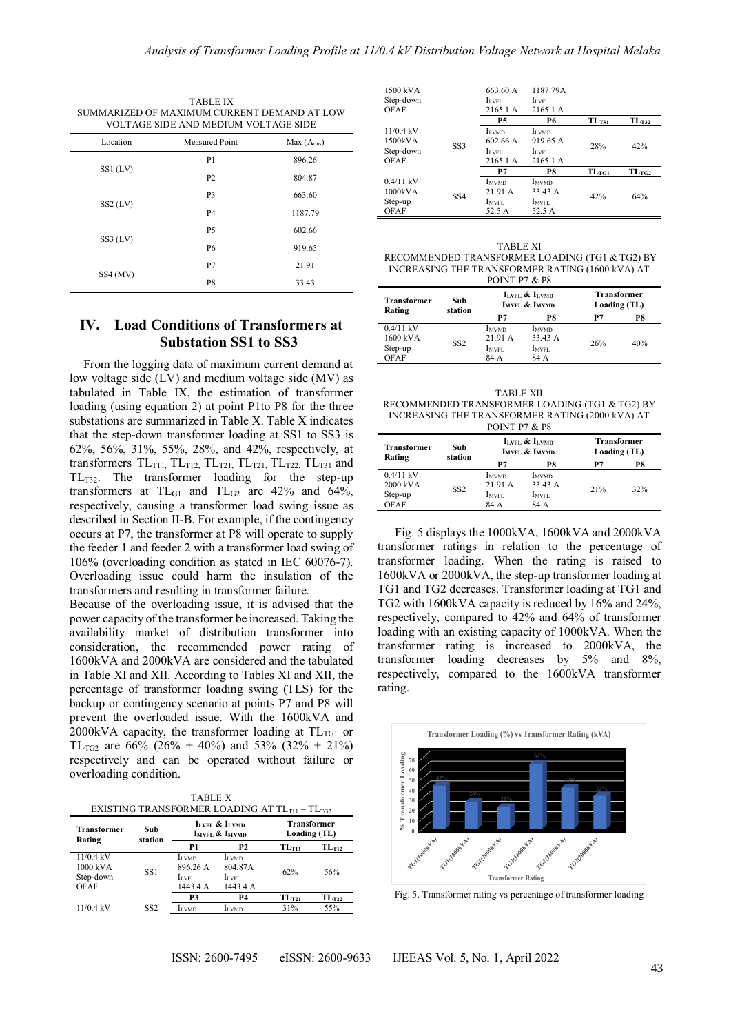1500 kVA Step-down

| TABLE IX<br>SUMMARIZED OF MAXIMUM CURRENT DEMAND AT LOW<br>VOLTAGE SIDE AND MEDIUM VOLTAGE SIDE |                |                        |  |  |  |
|-------------------------------------------------------------------------------------------------|----------------|------------------------|--|--|--|
| Location                                                                                        | Measured Point | Max(A <sub>rms</sub> ) |  |  |  |
| $SS1$ (LV)                                                                                      | P <sub>1</sub> | 896.26                 |  |  |  |
|                                                                                                 | P <sub>2</sub> | 804.87                 |  |  |  |
|                                                                                                 | P <sub>3</sub> | 663.60                 |  |  |  |
| $SS2$ (LV)                                                                                      | <b>P4</b>      | 1187.79                |  |  |  |
|                                                                                                 | <b>P5</b>      | 602.66                 |  |  |  |
| $SS3$ (LV)                                                                                      | <b>P6</b>      | 919.65                 |  |  |  |
| SS4 (MV)                                                                                        | P7             | 21.91                  |  |  |  |
|                                                                                                 | P8             | 33.43                  |  |  |  |

#### OFAF 2165.1 A 2165.1 A **P5 P6 TLT31 TLT32** 11/0.4 kV 1500kVA Step-down OFAF SS3 ILVMD 602.66 A  $\mathbf{I}_{\text{LVFL}}$ 2165.1 ILVMD 919.65 A  $\mathcal{I}_{\text{LVFL}}$ 2165.1 A 28% 42% **P7 P8 TLTG1 TLTG2** 0.4/11 kV 1000kVA Step-up OFAF SS4 IMVMD 21.91 A IMVFL 52.5 A IMVMD 33.43 A  $\mathbf{I}_{\text{MVFL}}$ 52.5 A 42% 64%

663.60 A ILVFL

1187.79A ILVFL

TABLE XI RECOMMENDED TRANSFORMER LOADING (TG1 & TG2) BY INCREASING THE TRANSFORMER RATING (1600 kVA) AT POINT P7 & P8

#### **Transformer Rating Sub station ILVFL & ILVMD IMVFL & IMVMD Transformer Loading (TL) P7 P8 P7 P8** 0.4/11 kV 1600 kVA Step-up OFAF SS<sub>2</sub> **IMVMD** 21.91 A IMVFL 84 A IMVMD  $33.43 A$ IMVFL 84 A 26% 40%

TABLE XII

RECOMMENDED TRANSFORMER LOADING (TG1 & TG2) BY INCREASING THE TRANSFORMER RATING (2000 kVA) AT  $POMT P7 R<sub>r</sub> P8$ 

| Transformer<br>Rating   | Sub<br>station  | LLVFL & LLVMD<br>IMVFL & IMVMD |                                     | <b>Transformer</b><br>Loading (TL) |     |
|-------------------------|-----------------|--------------------------------|-------------------------------------|------------------------------------|-----|
|                         |                 | P7                             | P8                                  | P7                                 | P8  |
| $0.4/11$ kV<br>2000 kVA | SS <sub>2</sub> | <b>I</b> MVMD<br>21.91 A       | <b>L</b> <sub>MVMD</sub><br>33.43 A | 21%                                | 32% |
| Step-up<br><b>OFAF</b>  |                 | Imvel.<br>84 A                 | IMVFL<br>84 A                       |                                    |     |

Fig. 5 displays the 1000kVA, 1600kVA and 2000kVA transformer ratings in relation to the percentage of transformer loading. When the rating is raised to 1600kVA or 2000kVA, the step-up transformer loading at TG1 and TG2 decreases. Transformer loading at TG1 and TG2 with 1600kVA capacity is reduced by 16% and 24%, respectively, compared to 42% and 64% of transformer loading with an existing capacity of 1000kVA. When the transformer rating is increased to 2000kVA, the transformer loading decreases by 5% and 8%, respectively, compared to the 1600kVA transformer rating.



Fig. 5. Transformer rating vs percentage of transformer loading

# **IV. Load Conditions of Transformers at Substation SS1 to SS3**

From the logging data of maximum current demand at low voltage side (LV) and medium voltage side (MV) as tabulated in Table IX, the estimation of transformer loading (using equation 2) at point P1to P8 for the three substations are summarized in Table X. Table X indicates that the step-down transformer loading at SS1 to SS3 is 62%, 56%, 31%, 55%, 28%, and 42%, respectively, at transformers  $TL_{T11}$ ,  $TL_{T12}$ ,  $TL_{T21}$ ,  $TL_{T21}$ ,  $TL_{T22}$ ,  $TL_{T31}$  and TLT32. The transformer loading for the step-up transformers at  $TL_{G1}$  and  $TL_{G2}$  are 42% and 64%, respectively, causing a transformer load swing issue as described in Section II-B. For example, if the contingency occurs at P7, the transformer at P8 will operate to supply the feeder 1 and feeder 2 with a transformer load swing of 106% (overloading condition as stated in IEC 60076-7). Overloading issue could harm the insulation of the transformers and resulting in transformer failure.

Because of the overloading issue, it is advised that the power capacity of the transformer be increased. Taking the availability market of distribution transformer into consideration, the recommended power rating of 1600kVA and 2000kVA are considered and the tabulated in Table XI and XII. According to Tables XI and XII, the percentage of transformer loading swing (TLS) for the backup or contingency scenario at points P7 and P8 will prevent the overloaded issue. With the 1600kVA and 2000kVA capacity, the transformer loading at  $TL_{TG1}$  or TL<sub>TG2</sub> are 66% (26% + 40%) and 53% (32% + 21%) respectively and can be operated without failure or overloading condition.

TABLE X EXISTING TRANSFORMER LOADING AT  $TL_{T11} - TL_{TG2}$ 

| <b>Transformer</b><br>Rating | Sub<br>station  |               | LLVFL & LLVMD<br>IMVFL & IMVMD |            | <b>Transformer</b><br>Loading (TL) |  |
|------------------------------|-----------------|---------------|--------------------------------|------------|------------------------------------|--|
|                              |                 | P1            | P <sub>2</sub>                 | $TL_{T11}$ | TL <sub>T12</sub>                  |  |
| $11/0.4$ kV                  |                 | <b>I</b> LVMD | <b>I</b> LVMD                  |            |                                    |  |
| 1000 kVA                     | SS1             | 896.26 A      | 804.87A                        | 62%        | 56%                                |  |
| Step-down                    |                 | ILVFL         | ILVFL                          |            |                                    |  |
| OFAF                         |                 | 1443.4 A      | 1443.4 A                       |            |                                    |  |
|                              |                 | P3            | <b>P4</b>                      | $TL_{T21}$ | $TL_{T22}$                         |  |
| $11/0.4$ kV                  | SS <sub>2</sub> | <b>I</b> LVMD | <b>I</b> LVMD                  | 31%        | 55%                                |  |